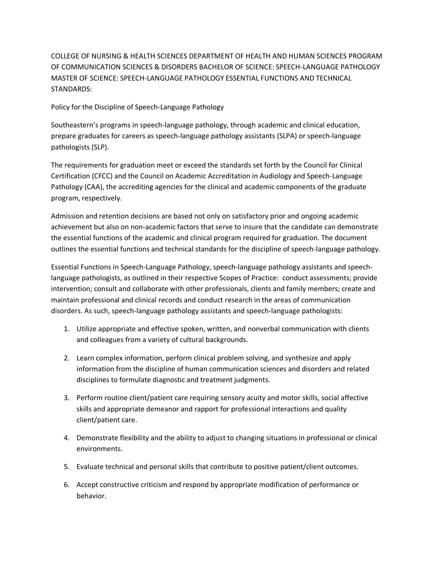COLLEGE OF NURSING & HEALTH SCIENCES DEPARTMENT OF HEALTH AND HUMAN SCIENCES PROGRAM OF COMMUNICATION SCIENCES & DISORDERS BACHELOR OF SCIENCE: SPEECH-LANGUAGE PATHOLOGY MASTER OF SCIENCE: SPEECH-LANGUAGE PATHOLOGY ESSENTIAL FUNCTIONS AND TECHNICAL STANDARDS:

Policy for the Discipline of Speech-Language Pathology

Southeastern's programs in speech-language pathology, through academic and clinical education, prepare graduates for careers as speech-language pathology assistants (SLPA) or speech-language pathologists (SLP).

The requirements for graduation meet or exceed the standards set forth by the Council for Clinical Certification (CFCC) and the Council on Academic Accreditation in Audiology and Speech-Language Pathology (CAA), the accrediting agencies for the clinical and academic components of the graduate program, respectively.

Admission and retention decisions are based not only on satisfactory prior and ongoing academic achievement but also on non-academic factors that serve to insure that the candidate can demonstrate the essential functions of the academic and clinical program required for graduation. The document outlines the essential functions and technical standards for the discipline of speech-language pathology.

Essential Functions in Speech-Language Pathology, speech-language pathology assistants and speechlanguage pathologists, as outlined in their respective Scopes of Practice: conduct assessments; provide intervention; consult and collaborate with other professionals, clients and family members; create and maintain professional and clinical records and conduct research in the areas of communication disorders. As such, speech-language pathology assistants and speech-language pathologists:

- 1. Utilize appropriate and effective spoken, written, and nonverbal communication with clients and colleagues from a variety of cultural backgrounds.
- 2. Learn complex information, perform clinical problem solving, and synthesize and apply information from the discipline of human communication sciences and disorders and related disciplines to formulate diagnostic and treatment judgments.
- 3. Perform routine client/patient care requiring sensory acuity and motor skills, social affective skills and appropriate demeanor and rapport for professional interactions and quality client/patient care.
- 4. Demonstrate flexibility and the ability to adjust to changing situations in professional or clinical environments.
- 5. Evaluate technical and personal skills that contribute to positive patient/client outcomes.
- 6. Accept constructive criticism and respond by appropriate modification of performance or behavior.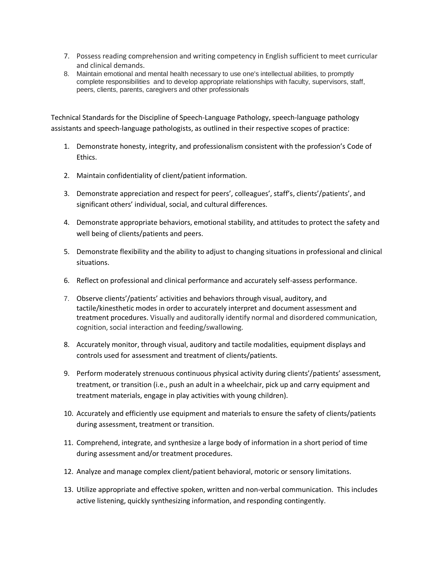- 7. Possess reading comprehension and writing competency in English sufficient to meet curricular and clinical demands.
- 8. Maintain emotional and mental health necessary to use one's intellectual abilities, to promptly complete responsibilities and to develop appropriate relationships with faculty, supervisors, staff, peers, clients, parents, caregivers and other professionals

Technical Standards for the Discipline of Speech-Language Pathology, speech-language pathology assistants and speech-language pathologists, as outlined in their respective scopes of practice:

- 1. Demonstrate honesty, integrity, and professionalism consistent with the profession's Code of Ethics.
- 2. Μaintain confidentiality of client/patient information.
- 3. Demonstrate appreciation and respect for peers', colleagues', staff's, clients'/patients', and significant others' individual, social, and cultural differences.
- 4. Demonstrate appropriate behaviors, emotional stability, and attitudes to protect the safety and well being of clients/patients and peers.
- 5. Demonstrate flexibility and the ability to adjust to changing situations in professional and clinical situations.
- 6. Reflect on professional and clinical performance and accurately self-assess performance.
- 7. Observe clients'/patients' activities and behaviors through visual, auditory, and tactile/kinesthetic modes in order to accurately interpret and document assessment and treatment procedures. Visually and auditorally identify normal and disordered communication, cognition, social interaction and feeding/swallowing.
- 8. Accurately monitor, through visual, auditory and tactile modalities, equipment displays and controls used for assessment and treatment of clients/patients.
- 9. Perform moderately strenuous continuous physical activity during clients'/patients' assessment, treatment, or transition (i.e., push an adult in a wheelchair, pick up and carry equipment and treatment materials, engage in play activities with young children).
- 10. Accurately and efficiently use equipment and materials to ensure the safety of clients/patients during assessment, treatment or transition.
- 11. Comprehend, integrate, and synthesize a large body of information in a short period of time during assessment and/or treatment procedures.
- 12. Analyze and manage complex client/patient behavioral, motoric or sensory limitations.
- 13. Utilize appropriate and effective spoken, written and non-verbal communication. This includes active listening, quickly synthesizing information, and responding contingently.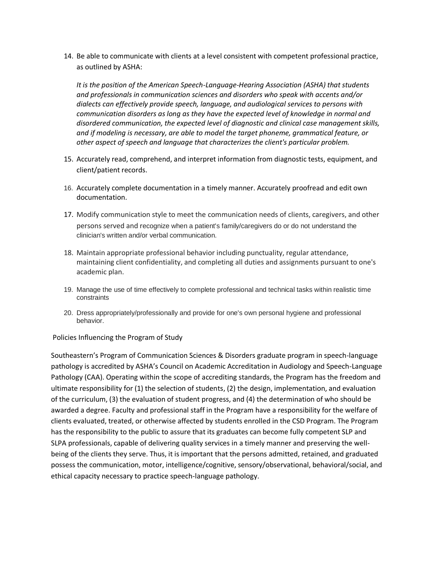14. Be able to communicate with clients at a level consistent with competent professional practice, as outlined by ASHA:

*It is the position of the American Speech-Language-Hearing Association (ASHA) that students and professionals in communication sciences and disorders who speak with accents and/or dialects can effectively provide speech, language, and audiological services to persons with communication disorders as long as they have the expected level of knowledge in normal and disordered communication, the expected level of diagnostic and clinical case management skills, and if modeling is necessary, are able to model the target phoneme, grammatical feature, or other aspect of speech and language that characterizes the client's particular problem.*

- 15. Αccurately read, comprehend, and interpret information from diagnostic tests, equipment, and client/patient records.
- 16. Accurately complete documentation in a timely manner. Accurately proofread and edit own documentation.
- 17. Modify communication style to meet the communication needs of clients, caregivers, and other persons served and recognize when a patient's family/caregivers do or do not understand the clinician's written and/or verbal communication.
- 18. Maintain appropriate professional behavior including punctuality, regular attendance, maintaining client confidentiality, and completing all duties and assignments pursuant to one's academic plan.
- 19. Manage the use of time effectively to complete professional and technical tasks within realistic time constraints
- 20. Dress appropriately/professionally and provide for one's own personal hygiene and professional behavior.

Policies Influencing the Program of Study

Southeastern's Program of Communication Sciences & Disorders graduate program in speech-language pathology is accredited by ASHA's Council on Academic Accreditation in Audiology and Speech-Language Pathology (CAA). Operating within the scope of accrediting standards, the Program has the freedom and ultimate responsibility for (1) the selection of students, (2) the design, implementation, and evaluation of the curriculum, (3) the evaluation of student progress, and (4) the determination of who should be awarded a degree. Faculty and professional staff in the Program have a responsibility for the welfare of clients evaluated, treated, or otherwise affected by students enrolled in the CSD Program. The Program has the responsibility to the public to assure that its graduates can become fully competent SLP and SLPA professionals, capable of delivering quality services in a timely manner and preserving the wellbeing of the clients they serve. Thus, it is important that the persons admitted, retained, and graduated possess the communication, motor, intelligence/cognitive, sensory/observational, behavioral/social, and ethical capacity necessary to practice speech-language pathology.